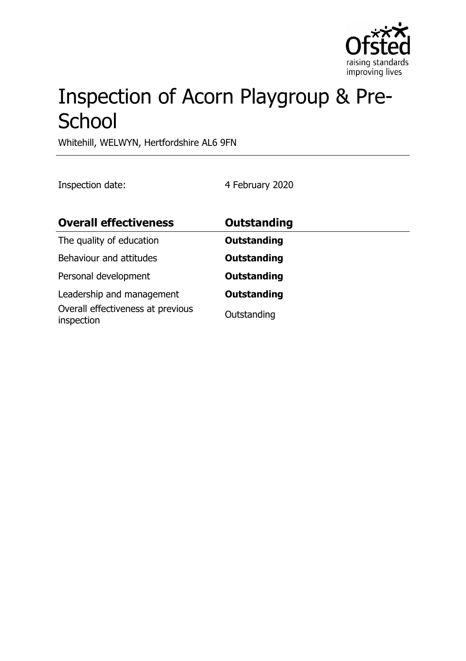

# Inspection of Acorn Playgroup & Pre-**School**

Whitehill, WELWYN, Hertfordshire AL6 9FN

Inspection date: 4 February 2020

| <b>Overall effectiveness</b>                                                 | <b>Outstanding</b>                |
|------------------------------------------------------------------------------|-----------------------------------|
| The quality of education                                                     | <b>Outstanding</b>                |
| Behaviour and attitudes                                                      | <b>Outstanding</b>                |
| Personal development                                                         | <b>Outstanding</b>                |
| Leadership and management<br>Overall effectiveness at previous<br>inspection | <b>Outstanding</b><br>Outstanding |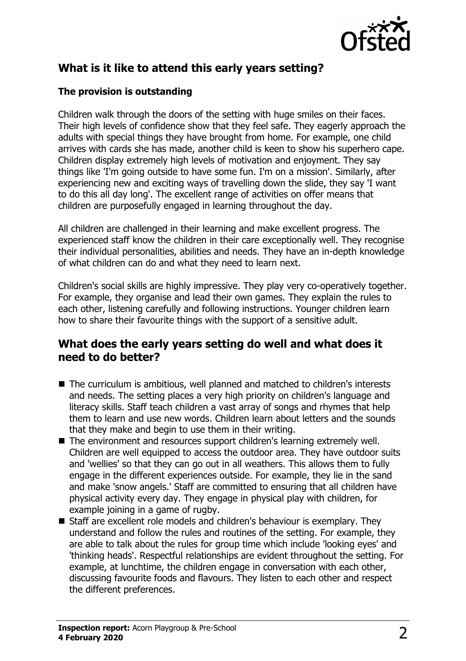

## **What is it like to attend this early years setting?**

#### **The provision is outstanding**

Children walk through the doors of the setting with huge smiles on their faces. Their high levels of confidence show that they feel safe. They eagerly approach the adults with special things they have brought from home. For example, one child arrives with cards she has made, another child is keen to show his superhero cape. Children display extremely high levels of motivation and enjoyment. They say things like 'I'm going outside to have some fun. I'm on a mission'. Similarly, after experiencing new and exciting ways of travelling down the slide, they say 'I want to do this all day long'. The excellent range of activities on offer means that children are purposefully engaged in learning throughout the day.

All children are challenged in their learning and make excellent progress. The experienced staff know the children in their care exceptionally well. They recognise their individual personalities, abilities and needs. They have an in-depth knowledge of what children can do and what they need to learn next.

Children's social skills are highly impressive. They play very co-operatively together. For example, they organise and lead their own games. They explain the rules to each other, listening carefully and following instructions. Younger children learn how to share their favourite things with the support of a sensitive adult.

### **What does the early years setting do well and what does it need to do better?**

- $\blacksquare$  The curriculum is ambitious, well planned and matched to children's interests and needs. The setting places a very high priority on children's language and literacy skills. Staff teach children a vast array of songs and rhymes that help them to learn and use new words. Children learn about letters and the sounds that they make and begin to use them in their writing.
- The environment and resources support children's learning extremely well. Children are well equipped to access the outdoor area. They have outdoor suits and 'wellies' so that they can go out in all weathers. This allows them to fully engage in the different experiences outside. For example, they lie in the sand and make 'snow angels.' Staff are committed to ensuring that all children have physical activity every day. They engage in physical play with children, for example joining in a game of rugby.
- Staff are excellent role models and children's behaviour is exemplary. They understand and follow the rules and routines of the setting. For example, they are able to talk about the rules for group time which include 'looking eyes' and 'thinking heads'. Respectful relationships are evident throughout the setting. For example, at lunchtime, the children engage in conversation with each other, discussing favourite foods and flavours. They listen to each other and respect the different preferences.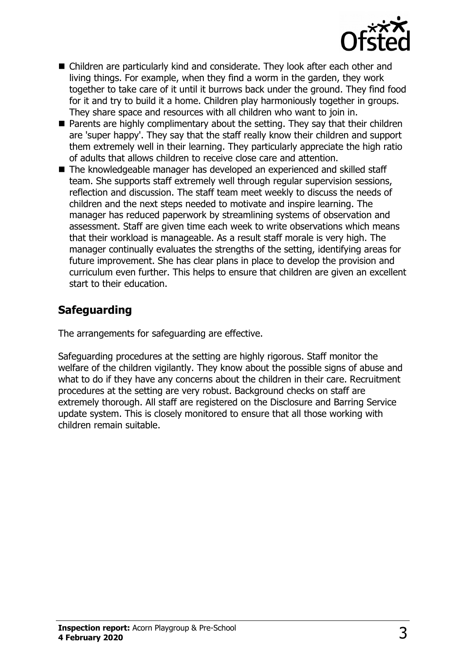

- $\blacksquare$  Children are particularly kind and considerate. They look after each other and living things. For example, when they find a worm in the garden, they work together to take care of it until it burrows back under the ground. They find food for it and try to build it a home. Children play harmoniously together in groups. They share space and resources with all children who want to join in.
- $\blacksquare$  Parents are highly complimentary about the setting. They say that their children are 'super happy'. They say that the staff really know their children and support them extremely well in their learning. They particularly appreciate the high ratio of adults that allows children to receive close care and attention.
- $\blacksquare$  The knowledgeable manager has developed an experienced and skilled staff team. She supports staff extremely well through regular supervision sessions, reflection and discussion. The staff team meet weekly to discuss the needs of children and the next steps needed to motivate and inspire learning. The manager has reduced paperwork by streamlining systems of observation and assessment. Staff are given time each week to write observations which means that their workload is manageable. As a result staff morale is very high. The manager continually evaluates the strengths of the setting, identifying areas for future improvement. She has clear plans in place to develop the provision and curriculum even further. This helps to ensure that children are given an excellent start to their education.

## **Safeguarding**

The arrangements for safeguarding are effective.

Safeguarding procedures at the setting are highly rigorous. Staff monitor the welfare of the children vigilantly. They know about the possible signs of abuse and what to do if they have any concerns about the children in their care. Recruitment procedures at the setting are very robust. Background checks on staff are extremely thorough. All staff are registered on the Disclosure and Barring Service update system. This is closely monitored to ensure that all those working with children remain suitable.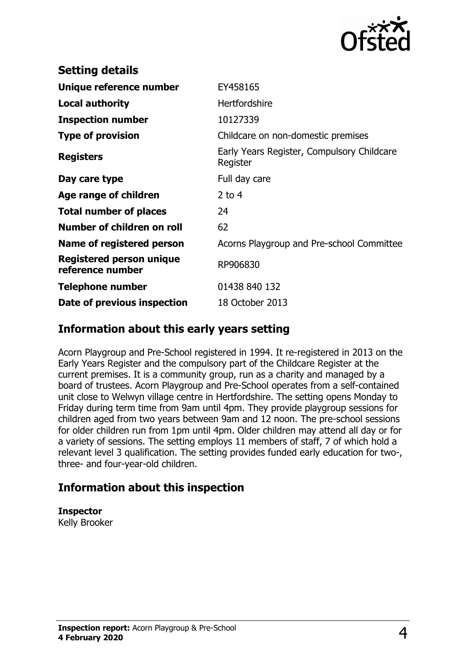

| EY458165                                               |
|--------------------------------------------------------|
| <b>Hertfordshire</b>                                   |
| 10127339                                               |
| Childcare on non-domestic premises                     |
| Early Years Register, Compulsory Childcare<br>Register |
| Full day care                                          |
| 2 to $4$                                               |
| 24                                                     |
| 62                                                     |
| Acorns Playgroup and Pre-school Committee              |
| RP906830                                               |
| 01438 840 132                                          |
| 18 October 2013                                        |
|                                                        |

#### **Information about this early years setting**

Acorn Playgroup and Pre-School registered in 1994. It re-registered in 2013 on the Early Years Register and the compulsory part of the Childcare Register at the current premises. It is a community group, run as a charity and managed by a board of trustees. Acorn Playgroup and Pre-School operates from a self-contained unit close to Welwyn village centre in Hertfordshire. The setting opens Monday to Friday during term time from 9am until 4pm. They provide playgroup sessions for children aged from two years between 9am and 12 noon. The pre-school sessions for older children run from 1pm until 4pm. Older children may attend all day or for a variety of sessions. The setting employs 11 members of staff, 7 of which hold a relevant level 3 qualification. The setting provides funded early education for two-, three- and four-year-old children.

### **Information about this inspection**

**Inspector**

Kelly Brooker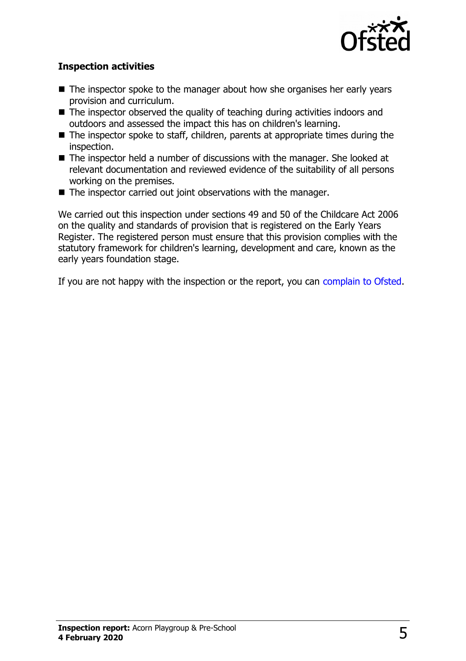

#### **Inspection activities**

- $\blacksquare$  The inspector spoke to the manager about how she organises her early years provision and curriculum.
- $\blacksquare$  The inspector observed the quality of teaching during activities indoors and outdoors and assessed the impact this has on children's learning.
- $\blacksquare$  The inspector spoke to staff, children, parents at appropriate times during the inspection.
- $\blacksquare$  The inspector held a number of discussions with the manager. She looked at relevant documentation and reviewed evidence of the suitability of all persons working on the premises.
- $\blacksquare$  The inspector carried out joint observations with the manager.

We carried out this inspection under sections 49 and 50 of the Childcare Act 2006 on the quality and standards of provision that is registered on the Early Years Register. The registered person must ensure that this provision complies with the statutory framework for children's learning, development and care, known as the early years foundation stage.

If you are not happy with the inspection or the report, you can [complain to Ofsted.](http://www.gov.uk/complain-ofsted-report)